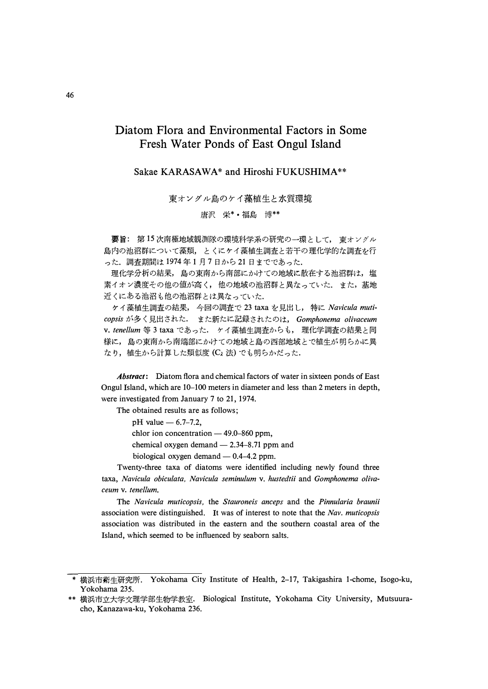# Diatom Flora and Environmental Factors in Some Fresh Water Ponds of East Ongul Island

Sakae KARASAWA\* and Hiroshi FUKUSHIMA\*\*

東オングル島のケイ藻植生と水質環境

唐沢 栄\*•福島 博\*\*

要旨: 第15次南極地域観測隊の環境科学系の研究の一環として、 東オングル 島内の池沼群について藻類、とくにケイ藻植生調査と若干の理化学的な調査を行 った. 調査期間は1974年1月7日から21日までであった.

理化学分析の結果、島の東南から南部にかけての地域に散在する池沼群は、塩 素イオン濃度その他の値が高く、他の地域の池沼群と異なっていた. また, 基地 近くにある池沼も他の池沼群とは異なっていた.

ケイ藻植生調査の結果, 今回の調査で 23 taxa を見出し, 特に Navicula muticopsis が多く見出された. また新たに記録されたのは、 Gomphonema olivaceum v. tenellum 等 3 taxa であった. ケイ藻植生調査からも、理化学調査の結果と同 様に, 島の東南から南端部にかけての地域と島の西部地域とで植生が明らかに異 なり,植生から計算した類似度 (C<sub>2</sub> 法) でも明らかだった.

**Abstract:** Diatom flora and chemical factors of water in sixteen ponds of East Ongul Island, which are 10–100 meters in diameter and less than 2 meters in depth, were investigated from January 7 to 21, 1974.

The obtained results are as follows;

pH value  $-6.7-7.2$ , chlor ion concentration - 49.0-860 ppm, chemical oxygen demand  $-2.34-8.71$  ppm and biological oxygen demand  $-$  0.4-4.2 ppm.

Twenty-three taxa of diatoms were identified including newly found three taxa, Navicula obiculata, Navicula seminulum v. hustedtii and Gomphonema olivaceum v. tenellum.

The Navicula muticopsis, the Stauroneis anceps and the Pinnularia braunii association were distinguished. It was of interest to note that the Nav. muticopsis association was distributed in the eastern and the southern coastal area of the Island, which seemed to be influenced by seaborn salts.

<sup>\*</sup> 横浜市衛生研究所. Yokohama City Institute of Health, 2-17, Takigashira 1-chome, Isogo-ku, Yokohama 235.

<sup>\*\*</sup> 横浜市立大学文理学部生物学教室. Biological Institute, Yokohama City University, Mutsuuracho, Kanazawa-ku, Yokohama 236.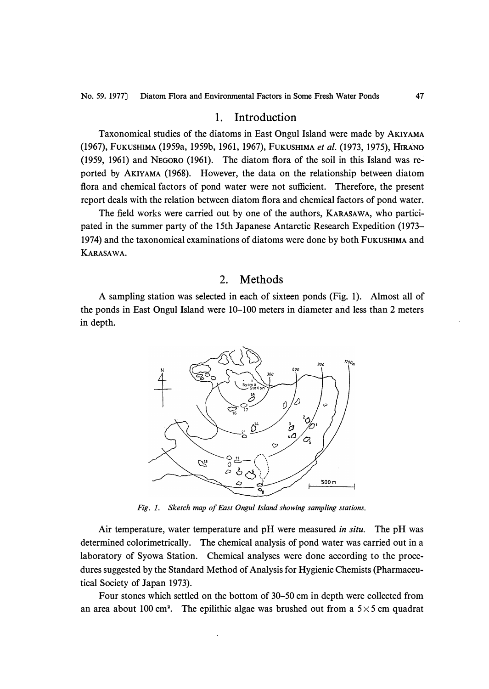### 1. Introduction

Taxonomical studies of the diatoms in East Ongul Island were made by AKIYAMA (1967), FUKUSHIMA (1959a, 1959b, 1961, 1967), FUKUSHIMA *et al.* (1973, 1975), **HIRANO**  (1959, 1961) and NEGORO (1961). The diatom flora of the soil in this Island was reported by AKIYAMA (1968). However, the data on the relationship between diatom flora and chemical factors of pond water were not sufficient. Therefore, the present report deals with the relation between diatom flora and chemical factors of pond water.

The field works were carried out by one of the authors, KARASAWA, who participated in the summer party of the 15th Japanese Antarctic Research Expedition (1973- 1974) and the taxonomical examinations of diatoms were done by both FUKUSHIMA and **KARASAWA.** 

#### 2. Methods

A sampling station was selected in each of sixteen ponds (Fig. 1). Almost all of the ponds in East Ongul Island were 10-100 meters in diameter and less than 2 meters in depth.



*Fig. 1. Sketch map of East Ongul Island showing sampling stations.* 

Air temperature, water temperature and pH were measured *in situ.* The pH was determined colorimetrically. The chemical analysis of pond water was carried out in a laboratory of Syowa Station. Chemical analyses were done according to the procedures suggested by the Standard Method of Analysis for Hygienic Chemists (Pharmaceutical Society of Japan 1973).

Four stones which settled on the bottom of 30-50 cm in depth were collected from an area about 100 cm<sup>2</sup>. The epilithic algae was brushed out from a  $5 \times 5$  cm quadrat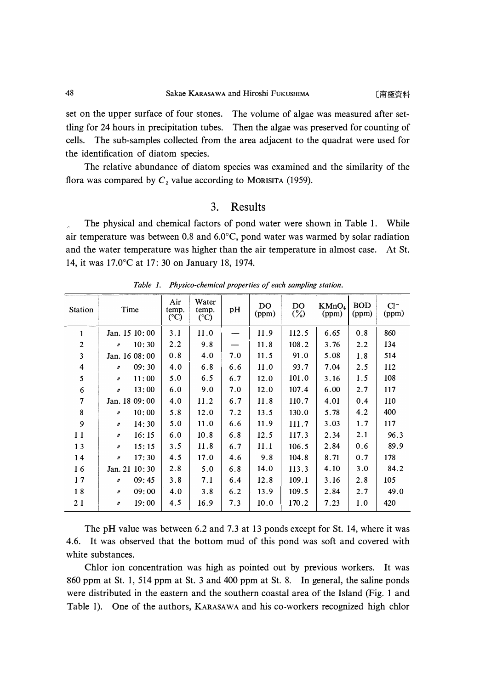*set on the upper surface of four stones. The volume of algae was measured after settling for 24 hours in precipitation tubes. Then the algae was preserved for counting of cells. The sub-samples collected from the area adjacent to the quadrat were used for the identification of diatom species.* 

The relative abundance of diatom species was examined and the similarity of the *flora was compared by*  $C<sub>2</sub>$  *value according to MORISITA (1959).* 

## 3. Results

The physical and chemical factors of pond water were shown in Table 1. While *air temperature was between 0.8 and 6.0* ° *C, pond water was warmed by solar radiation*  and the water temperature was higher than the air temperature in almost case. At St. *14, it was 17.0* °*C at 17: 30 on January 18, 1974.* 

| <b>Station</b>           | Time                      | Air<br>temp.<br>$({}^{\circ}C)$ | Water<br>temp.<br>$(^{\circ}C)$ | pH  | DO.<br>(ppm) | DO.<br>$\binom{9}{0}$ | KMnO <sub>4</sub><br>(ppm) | <b>BOD</b><br>(ppm) | $Cl^-$<br>(ppm) |
|--------------------------|---------------------------|---------------------------------|---------------------------------|-----|--------------|-----------------------|----------------------------|---------------------|-----------------|
| 1                        | Jan. 15 10:00             | 3.1                             | 11.0                            |     | 11.9         | 112.5                 | 6.65                       | 0.8                 | 860             |
| $\overline{2}$           | 10:30<br>$\boldsymbol{r}$ | 2.2                             | 9.8                             |     | 11.8         | 108.2                 | 3.76                       | 2.2                 | 134             |
| 3                        | Jan. 16 08:00             | 0.8                             | 4.0                             | 7.0 | 11.5         | 91.0                  | 5.08                       | 1.8                 | 514             |
| 4                        | 09:30<br>$\boldsymbol{n}$ | 4.0                             | 6.8                             | 6.6 | 11.0         | 93.7                  | 7.04                       | 2.5                 | 112             |
| 5                        | 11:00<br>$\boldsymbol{n}$ | 5.0                             | 6.5                             | 6.7 | 12.0         | 101.0                 | 3.16                       | 1.5                 | 108             |
| 6                        | 13:00<br>$\boldsymbol{n}$ | 6.0                             | 9.0                             | 7.0 | 12.0         | 107.4                 | 6.00                       | 2.7                 | 117             |
| $\overline{\mathcal{L}}$ | Jan. 18 09:00             | 4.0                             | 11.2                            | 6.7 | 11.8         | 110.7                 | 4.01                       | 0.4                 | 110             |
| 8                        | 10:00<br>$\boldsymbol{n}$ | 5.8                             | 12.0                            | 7.2 | 13.5         | 130.0                 | 5.78                       | 4.2                 | 400             |
| 9                        | 14:30<br>$\mathbf{r}$     | 5.0                             | 11.0                            | 6.6 | 11.9         | 111.7                 | 3.03                       | 1.7                 | 117             |
| 11                       | 16:15<br>$\boldsymbol{n}$ | 6.0                             | 10.8                            | 6.8 | 12.5         | 117.3                 | 2.34                       | 2.1                 | 96.3            |
| 13                       | 15:15<br>$\boldsymbol{n}$ | 3.5                             | 11.8                            | 6.7 | 11.1         | 106.5                 | 2.84                       | 0.6                 | 89.9            |
| 14                       | 17:30<br>$\mathbf r$      | 4.5                             | 17.0                            | 4.6 | 9.8          | 104.8                 | 8.71                       | 0.7                 | 178             |
| 16                       | Jan. 21 10:30             | 2.8                             | 5.0                             | 6.8 | 14.0         | 113.3                 | 4.10                       | 3.0                 | 84.2            |
| 17                       | 09:45<br>$\boldsymbol{n}$ | 3.8                             | 7.1                             | 6.4 | 12.8         | 109.1                 | 3.16                       | 2.8                 | 105             |
| 18                       | 09:00<br>$\boldsymbol{n}$ | 4.0                             | 3.8                             | 6.2 | 13.9         | 109.5                 | 2.84                       | 2.7                 | 49.0            |
| 21                       | 19:00<br>$\boldsymbol{n}$ | 4.5                             | 16.9                            | 7.3 | 10.0         | 170.2                 | 7.23                       | 1.0                 | 420             |
|                          |                           |                                 |                                 |     |              |                       |                            |                     |                 |

*Table 1. Physico-chemical properties of each sampling station.* 

*The pH value was between 6.2 and 7.3 at 13 ponds except for St. 14, where it was 4.6. It was observed that the bottom mud of this pond was soft and covered with white substances.* 

*Chlor ion concentration was high as pointed out by previous workers. It was 860 ppm at St. 1, 514 ppm at St. 3 and 400 ppm at St. 8. In general, the saline ponds were distributed in the eastern and the southern coastal area of the Island (Fig. 1 and Table 1). One of the authors,* **KARASAWA** *and his co-workers recognized high chlor*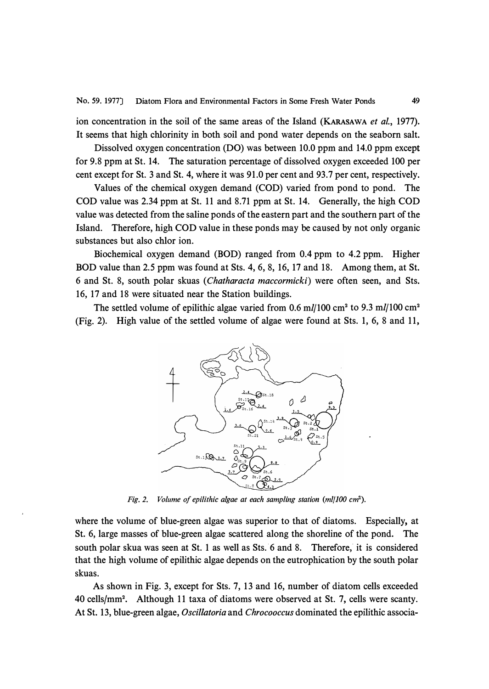ion concentration in the soil of the same areas of the Island **(KARASAWA** *et al.,* 1977). It seems that high chlorinity in both soil and pond water depends on the seaborn salt.

Dissolved oxygen concentration (DO) was between 10.0 ppm and 14.0 ppm except for 9.8 ppm at St. 14. The saturation percentage of dissolved oxygen exceeded 100 per cent except for St. 3 and St. 4, where it was 91.0 per cent and 93.7 per cent, respectively.

Values of the chemical oxygen demand (COD) varied from pond to pond. The COD value was 2.34 ppm at St. 11 and 8.71 ppm at St. 14. Generally, the high COD value was detected from the saline ponds of the eastern part and the southern part of the Island. Therefore, high COD value in these ponds may be caused by not only organic substances but also chlor ion.

Biochemical oxygen demand (BOD) ranged from 0.4 ppm to 4.2 ppm. Higher BOD value than 2.5 ppm was found at Sts. 4, 6, 8, 16, 17 and 18. Among them, at St. 6 and St. 8, south polar skuas ( *Chatharacta maccormicki)* were often seen, and Sts. 16, 17 and 18 were situated near the Station buildings.

The settled volume of epilithic algae varied from 0.6 ml/100 cm<sup>2</sup> to 9.3 ml/100 cm<sup>2</sup> (Fig. 2). High value of the settled volume of algae were found at Sts. 1, 6, 8 and 11,



*Fig. 2. Volume of epilithic algae at each sampling station (ml/JOO cm<sup>2</sup> ).* 

where the volume of blue-green algae was superior to that of diatoms. Especially, at St. 6, large masses of blue-green algae scattered along the shoreline of the pond. The south polar skua was seen at St. 1 as well as Sts. 6 and 8. Therefore, it is considered that the high volume of epilithic algae depends on the eutrophication by the south polar skuas.

As shown in Fig. 3, except for Sts. 7, 13 and 16, number of diatom cells exceeded 40 cells/mm<sup>2</sup> • Although 11 taxa of diatoms were observed at St. 7, cells were scanty. At St. 13, blue-green algae, *Oscillatoria* and *Chrocooccus* dominated the epilithic associa-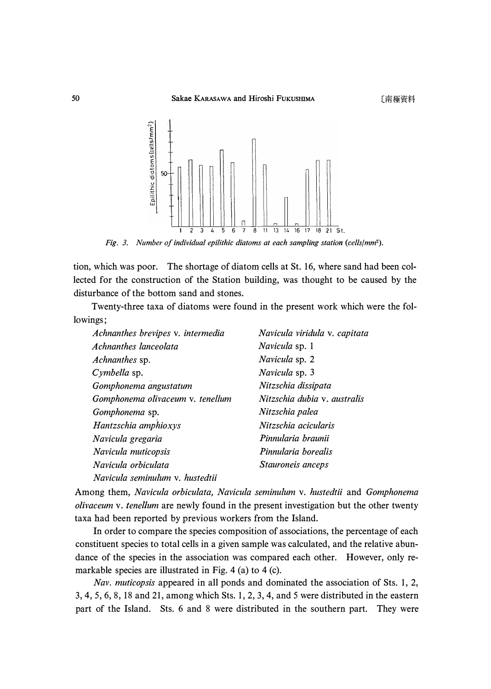

Fig. 3. Number of individual epilithic diatoms at each sampling station (cells/mm<sup>2</sup>).

*tion, which was poor. The shortage of diatom cells at St. 16, where sand had been collected for the construction of the Station building, was thought to be caused by the disturbance of the bottom sand and stones.* 

*Twenty-three taxa of diatoms were found in the present work which were the followings;* 

| Achnanthes brevipes v. intermedia | Navicula viridula v. capitata |
|-----------------------------------|-------------------------------|
| Achnanthes lanceolata             | Navicula sp. 1                |
| <i>Achnanthes</i> sp.             | Navicula sp. 2                |
| Cymbella sp.                      | Navicula sp. 3                |
| Gomphonema angustatum             | Nitzschia dissipata           |
| Gomphonema olivaceum v. tenellum  | Nitzschia dubia v. australis  |
| Gomphonema sp.                    | Nitzschia palea               |
| Hantzschia amphioxys              | Nitzschia acicularis          |
| Navicula gregaria                 | Pinnularia braunii            |
| Navicula muticopsis               | Pinnularia borealis           |
| Navicula orbiculata               | Stauroneis anceps             |
| Navicula seminulum v. hustedtii   |                               |

*Among them, Navicula orbiculata, Navicula seminulum v. hustedtii and Gomphonema olivaceum v. tenellum are newly found in the present investigation but the other twenty taxa had been reported by previous workers from the Island.* 

*In order to compare the species composition of associations, the percentage of each constituent species to total cells in a given sample was calculated, and the relative abundance of the species in the association was compared each other. However, only remarkable species are illustrated in Fig. 4 (a) to 4 (c).* 

*Nav. muticopsis appeared in all ponds and dominated the association of Sts. 1, 2, 3, 4, 5, 6, 8, 18 and 21, among which Sts. 1, 2, 3, 4, and 5 were distributed in the eastern part of the Island.* Sts. 6 and 8 were distributed in the southern part. They were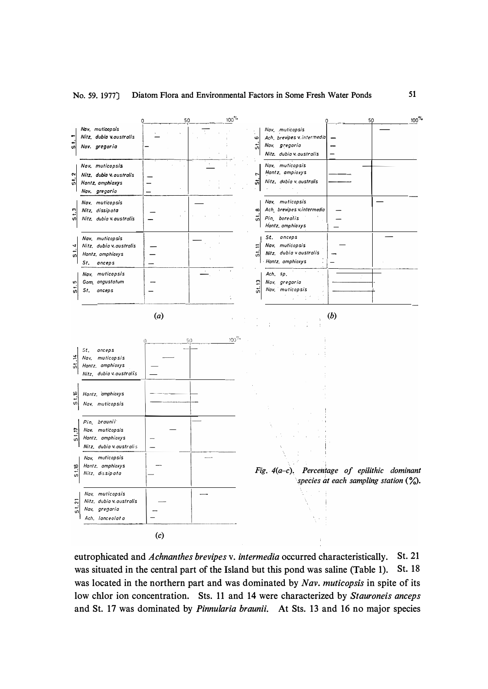

eutrophicated and Achnanthes brevipes v. intermedia occurred characteristically. St. 21 was situated in the central part of the Island but this pond was saline (Table 1). St. 18 was located in the northern part and was dominated by Nav. muticopsis in spite of its low chlor ion concentration. Sts. 11 and 14 were characterized by Stauroneis anceps and St. 17 was dominated by *Pinnularia braunii*. At Sts. 13 and 16 no major species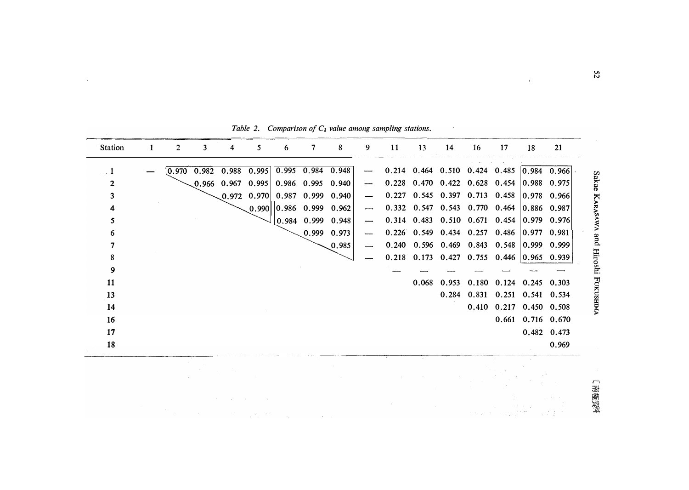| <b>Station</b> | 2     | 3     |       | 5                                                                    | 6 |                                                         | 8                                                       | 9 | 11    | 13    | 14    | 16 | 17                                                      | 18                | 21    |
|----------------|-------|-------|-------|----------------------------------------------------------------------|---|---------------------------------------------------------|---------------------------------------------------------|---|-------|-------|-------|----|---------------------------------------------------------|-------------------|-------|
|                | 0.970 | 0.982 | 0.988 | 0.995                                                                |   |                                                         | $\begin{array}{ ccc} 0.995 & 0.984 & 0.948 \end{array}$ |   |       |       |       |    | $0.214$ 0.464 0.510 0.424 0.485 0.984 0.966             |                   |       |
| 2              |       |       |       | $[0.966 \quad 0.967 \quad 0.995 \mid] 0.986 \quad 0.995 \quad 0.940$ |   |                                                         |                                                         |   |       |       |       |    | $0.228$ 0.470 0.422 0.628 0.454 0.988 0.975             |                   |       |
| 3              |       |       |       | $[0.972 \quad 0.970 \mid 0.987 \quad 0.999 \quad 0.940]$             |   |                                                         |                                                         |   |       |       |       |    | $0.227$ 0.545 0.397 0.713 0.458 0.978 0.966             |                   |       |
|                |       |       |       |                                                                      |   | $[0.990][0.986 \quad 0.999 \quad 0.962]$                |                                                         |   |       |       |       |    | $0.332$ $0.547$ $0.543$ $0.770$ $0.464$ $0.886$ $0.987$ |                   |       |
| 5              |       |       |       |                                                                      |   | $\begin{array}{cccc} 0.984 & 0.999 & 0.948 \end{array}$ |                                                         |   |       |       |       |    | $0.314$ $0.483$ $0.510$ $0.671$ $0.454$ 0.979 0.976     |                   |       |
|                |       |       |       |                                                                      |   |                                                         | 0.999 0.973                                             |   |       |       |       |    | $0.226$ 0.549 0.434 0.257 0.486 0.977 0.981             |                   |       |
|                |       |       |       |                                                                      |   |                                                         | 0.985                                                   |   | 0.240 |       |       |    | $0.596$ $0.469$ $0.843$ $0.548$                         | 0.999 0.999       |       |
| 8              |       |       |       |                                                                      |   |                                                         |                                                         |   |       |       |       |    | $0.218$ 0.173 0.427 0.755 0.446 0.965 0.939             |                   |       |
| 9              |       |       |       |                                                                      |   |                                                         |                                                         |   |       |       |       |    |                                                         |                   |       |
| 11             |       |       |       |                                                                      |   |                                                         |                                                         |   |       | 0.068 | 0.953 |    | 0.180 0.124 0.245 0.303                                 |                   |       |
| 13             |       |       |       |                                                                      |   |                                                         |                                                         |   |       |       |       |    | 0.284 0.831 0.251 0.541 0.534                           |                   |       |
| 14             |       |       |       |                                                                      |   |                                                         |                                                         |   |       |       |       |    | 0.410 0.217 0.450 0.508                                 |                   |       |
| 16             |       |       |       |                                                                      |   |                                                         |                                                         |   |       |       |       |    |                                                         | 0.661 0.716 0.670 |       |
| 17             |       |       |       |                                                                      |   |                                                         |                                                         |   |       |       |       |    |                                                         | 0.482 0.473       |       |
| 18             |       |       |       |                                                                      |   |                                                         |                                                         |   |       |       |       |    |                                                         |                   | 0.969 |
|                |       |       |       |                                                                      |   |                                                         |                                                         |   |       |       |       |    |                                                         |                   |       |
|                |       |       |       |                                                                      |   |                                                         |                                                         |   |       |       |       |    |                                                         |                   |       |
|                |       |       |       |                                                                      |   |                                                         |                                                         |   |       |       |       |    |                                                         |                   |       |
|                |       |       |       |                                                                      |   |                                                         |                                                         |   |       |       |       |    |                                                         |                   |       |
|                |       |       |       |                                                                      |   |                                                         |                                                         |   |       |       |       |    |                                                         |                   |       |

*Table 2. Comparison of*  $C_{\lambda}$  *value among sampling stations.* 

 $\mathcal{L}_{\text{max}}$ 

 $22$ 

 $\sim 10^6$